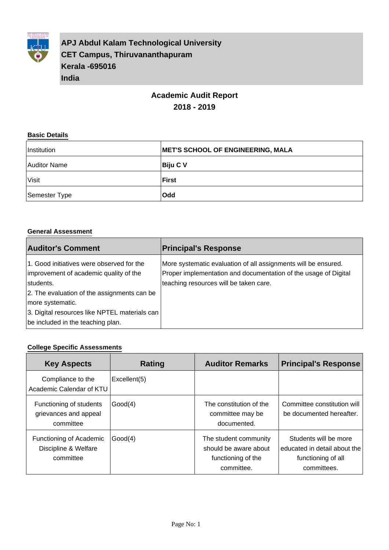

**APJ Abdul Kalam Technological University CET Campus, Thiruvananthapuram Kerala -695016 India**

# **Academic Audit Report 2018 - 2019**

#### **Basic Details**

| Institution   | <b>MET'S SCHOOL OF ENGINEERING, MALA</b> |
|---------------|------------------------------------------|
| Auditor Name  | Biju C V                                 |
| Visit         | ∣First                                   |
| Semester Type | <b>Odd</b>                               |

#### **General Assessment**

| <b>Auditor's Comment</b>                                                                                                                                                                                                                                  | <b>Principal's Response</b>                                                                                                                                                 |
|-----------------------------------------------------------------------------------------------------------------------------------------------------------------------------------------------------------------------------------------------------------|-----------------------------------------------------------------------------------------------------------------------------------------------------------------------------|
| 1. Good initiatives were observed for the<br>improvement of academic quality of the<br>students.<br>2. The evaluation of the assignments can be<br>more systematic.<br>3. Digital resources like NPTEL materials can<br>be included in the teaching plan. | More systematic evaluation of all assignments will be ensured.<br>Proper implementation and documentation of the usage of Digital<br>teaching resources will be taken care. |

#### **College Specific Assessments**

| <b>Key Aspects</b>                                            | Rating       | <b>Auditor Remarks</b>                                                             | <b>Principal's Response</b>                                                                |
|---------------------------------------------------------------|--------------|------------------------------------------------------------------------------------|--------------------------------------------------------------------------------------------|
| Compliance to the<br>Academic Calendar of KTU                 | Excellent(5) |                                                                                    |                                                                                            |
| Functioning of students<br>grievances and appeal<br>committee | Good(4)      | The constitution of the<br>committee may be<br>documented.                         | Committee constitution will<br>be documented hereafter.                                    |
| Functioning of Academic<br>Discipline & Welfare<br>committee  | Good(4)      | The student community<br>should be aware about<br>functioning of the<br>committee. | Students will be more<br>educated in detail about the<br>functioning of all<br>committees. |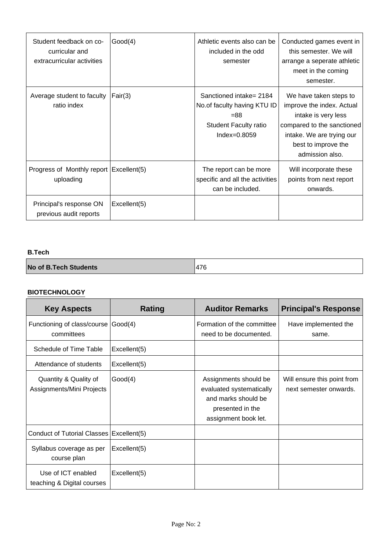| Student feedback on co-<br>curricular and<br>extracurricular activities | Good(4)      | Athletic events also can be<br>included in the odd<br>semester                                                     | Conducted games event in<br>this semester. We will<br>arrange a seperate athletic<br>meet in the coming<br>semester.                                                            |
|-------------------------------------------------------------------------|--------------|--------------------------------------------------------------------------------------------------------------------|---------------------------------------------------------------------------------------------------------------------------------------------------------------------------------|
| Average student to faculty<br>ratio index                               | Fair(3)      | Sanctioned intake= 2184<br>No. of faculty having KTU ID<br>$=88$<br><b>Student Faculty ratio</b><br>$Index=0.8059$ | We have taken steps to<br>improve the index. Actual<br>intake is very less<br>compared to the sanctioned<br>intake. We are trying our<br>best to improve the<br>admission also. |
| Progress of Monthly report Excellent(5)<br>uploading                    |              | The report can be more<br>specific and all the activities<br>can be included.                                      | Will incorporate these<br>points from next report<br>onwards.                                                                                                                   |
| Principal's response ON<br>previous audit reports                       | Excellent(5) |                                                                                                                    |                                                                                                                                                                                 |

#### **B.Tech**

| <b>No of B.Tech Students</b> | 476 |
|------------------------------|-----|
|------------------------------|-----|

#### **BIOTECHNOLOGY**

| <b>Key Aspects</b>                                 | Rating       | <b>Auditor Remarks</b>                                                                                               | <b>Principal's Response</b>                           |
|----------------------------------------------------|--------------|----------------------------------------------------------------------------------------------------------------------|-------------------------------------------------------|
| Functioning of class/course<br>committees          | Good(4)      | Formation of the committee<br>need to be documented.                                                                 | Have implemented the<br>same.                         |
| Schedule of Time Table                             | Excellent(5) |                                                                                                                      |                                                       |
| Attendance of students                             | Excellent(5) |                                                                                                                      |                                                       |
| Quantity & Quality of<br>Assignments/Mini Projects | Good(4)      | Assignments should be<br>evaluated systematically<br>and marks should be<br>presented in the<br>assignment book let. | Will ensure this point from<br>next semester onwards. |
| Conduct of Tutorial Classes   Excellent(5)         |              |                                                                                                                      |                                                       |
| Syllabus coverage as per<br>course plan            | Excellent(5) |                                                                                                                      |                                                       |
| Use of ICT enabled<br>teaching & Digital courses   | Excellent(5) |                                                                                                                      |                                                       |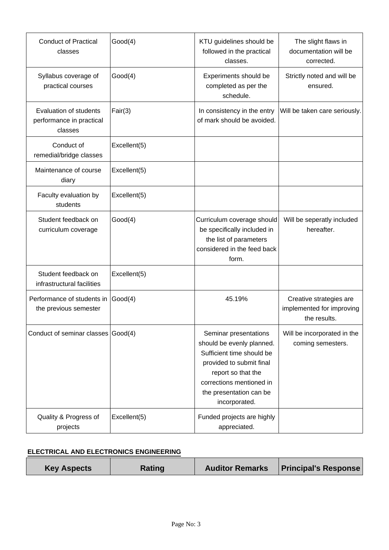| <b>Conduct of Practical</b><br>classes                        | Good(4)      | KTU guidelines should be<br>followed in the practical<br>classes.                                                                                                                                         | The slight flaws in<br>documentation will be<br>corrected.           |
|---------------------------------------------------------------|--------------|-----------------------------------------------------------------------------------------------------------------------------------------------------------------------------------------------------------|----------------------------------------------------------------------|
| Syllabus coverage of<br>practical courses                     | Good(4)      | Experiments should be<br>completed as per the<br>schedule.                                                                                                                                                | Strictly noted and will be<br>ensured.                               |
| Evaluation of students<br>performance in practical<br>classes | Fair(3)      | In consistency in the entry<br>of mark should be avoided.                                                                                                                                                 | Will be taken care seriously.                                        |
| Conduct of<br>remedial/bridge classes                         | Excellent(5) |                                                                                                                                                                                                           |                                                                      |
| Maintenance of course<br>diary                                | Excellent(5) |                                                                                                                                                                                                           |                                                                      |
| Faculty evaluation by<br>students                             | Excellent(5) |                                                                                                                                                                                                           |                                                                      |
| Student feedback on<br>curriculum coverage                    | Good(4)      | Curriculum coverage should<br>be specifically included in<br>the list of parameters<br>considered in the feed back<br>form.                                                                               | Will be seperatly included<br>hereafter.                             |
| Student feedback on<br>infrastructural facilities             | Excellent(5) |                                                                                                                                                                                                           |                                                                      |
| Performance of students in<br>the previous semester           | Good(4)      | 45.19%                                                                                                                                                                                                    | Creative strategies are<br>implemented for improving<br>the results. |
| Conduct of seminar classes Good(4)                            |              | Seminar presentations<br>should be evenly planned.<br>Sufficient time should be<br>provided to submit final<br>report so that the<br>corrections mentioned in<br>the presentation can be<br>incorporated. | Will be incorporated in the<br>coming semesters.                     |
| Quality & Progress of<br>projects                             | Excellent(5) | Funded projects are highly<br>appreciated.                                                                                                                                                                |                                                                      |

## **ELECTRICAL AND ELECTRONICS ENGINEERING**

| <b>Key Aspects</b> | Rating | <b>Auditor Remarks</b> | <b>Principal's Response</b> |
|--------------------|--------|------------------------|-----------------------------|
|--------------------|--------|------------------------|-----------------------------|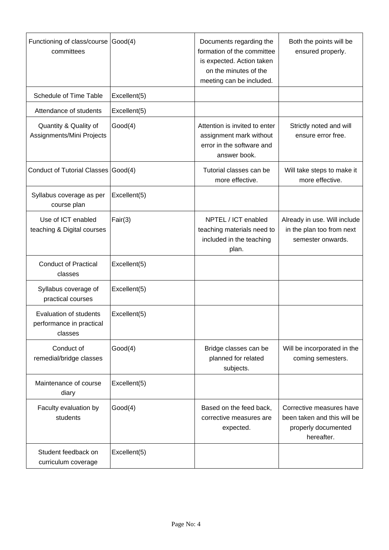| Functioning of class/course Good(4)<br>committees             |              | Documents regarding the<br>formation of the committee<br>is expected. Action taken<br>on the minutes of the<br>meeting can be included. | Both the points will be<br>ensured properly.                                                 |
|---------------------------------------------------------------|--------------|-----------------------------------------------------------------------------------------------------------------------------------------|----------------------------------------------------------------------------------------------|
| Schedule of Time Table                                        | Excellent(5) |                                                                                                                                         |                                                                                              |
| Attendance of students                                        | Excellent(5) |                                                                                                                                         |                                                                                              |
| Quantity & Quality of<br>Assignments/Mini Projects            | Good(4)      | Attention is invited to enter<br>assignment mark without<br>error in the software and<br>answer book.                                   | Strictly noted and will<br>ensure error free.                                                |
| Conduct of Tutorial Classes Good(4)                           |              | Tutorial classes can be<br>more effective.                                                                                              | Will take steps to make it<br>more effective.                                                |
| Syllabus coverage as per<br>course plan                       | Excellent(5) |                                                                                                                                         |                                                                                              |
| Use of ICT enabled<br>teaching & Digital courses              | Fair(3)      | NPTEL / ICT enabled<br>teaching materials need to<br>included in the teaching<br>plan.                                                  | Already in use. Will include<br>in the plan too from next<br>semester onwards.               |
| <b>Conduct of Practical</b><br>classes                        | Excellent(5) |                                                                                                                                         |                                                                                              |
| Syllabus coverage of<br>practical courses                     | Excellent(5) |                                                                                                                                         |                                                                                              |
| Evaluation of students<br>performance in practical<br>classes | Excellent(5) |                                                                                                                                         |                                                                                              |
| Conduct of<br>remedial/bridge classes                         | Good(4)      | Bridge classes can be<br>planned for related<br>subjects.                                                                               | Will be incorporated in the<br>coming semesters.                                             |
| Maintenance of course<br>diary                                | Excellent(5) |                                                                                                                                         |                                                                                              |
| Faculty evaluation by<br>students                             | Good(4)      | Based on the feed back,<br>corrective measures are<br>expected.                                                                         | Corrective measures have<br>been taken and this will be<br>properly documented<br>hereafter. |
| Student feedback on<br>curriculum coverage                    | Excellent(5) |                                                                                                                                         |                                                                                              |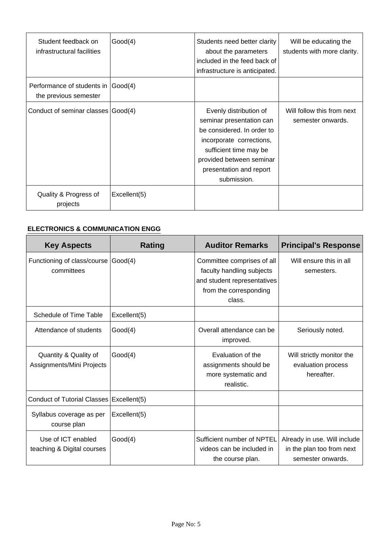| Student feedback on<br>infrastructural facilities            | Good(4)      | Students need better clarity<br>about the parameters<br>included in the feed back of<br>infrastructure is anticipated.                                                                                       | Will be educating the<br>students with more clarity. |
|--------------------------------------------------------------|--------------|--------------------------------------------------------------------------------------------------------------------------------------------------------------------------------------------------------------|------------------------------------------------------|
| Performance of students in (Good(4)<br>the previous semester |              |                                                                                                                                                                                                              |                                                      |
| Conduct of seminar classes Good(4)                           |              | Evenly distribution of<br>seminar presentation can<br>be considered. In order to<br>incorporate corrections,<br>sufficient time may be<br>provided between seminar<br>presentation and report<br>submission. | Will follow this from next<br>semester onwards.      |
| Quality & Progress of<br>projects                            | Excellent(5) |                                                                                                                                                                                                              |                                                      |

## **ELECTRONICS & COMMUNICATION ENGG**

| <b>Key Aspects</b>                                 | <b>Rating</b> | <b>Auditor Remarks</b>                                                                                                     | <b>Principal's Response</b>                                                    |
|----------------------------------------------------|---------------|----------------------------------------------------------------------------------------------------------------------------|--------------------------------------------------------------------------------|
| Functioning of class/course<br>committees          | Good(4)       | Committee comprises of all<br>faculty handling subjects<br>and student representatives<br>from the corresponding<br>class. | Will ensure this in all<br>semesters.                                          |
| Schedule of Time Table                             | Excellent(5)  |                                                                                                                            |                                                                                |
| Attendance of students                             | Good(4)       | Overall attendance can be<br>improved.                                                                                     | Seriously noted.                                                               |
| Quantity & Quality of<br>Assignments/Mini Projects | Good(4)       | Evaluation of the<br>assignments should be<br>more systematic and<br>realistic.                                            | Will strictly monitor the<br>evaluation process<br>hereafter.                  |
| Conduct of Tutorial Classes   Excellent(5)         |               |                                                                                                                            |                                                                                |
| Syllabus coverage as per<br>course plan            | Excellent(5)  |                                                                                                                            |                                                                                |
| Use of ICT enabled<br>teaching & Digital courses   | Good(4)       | Sufficient number of NPTEL<br>videos can be included in<br>the course plan.                                                | Already in use. Will include<br>in the plan too from next<br>semester onwards. |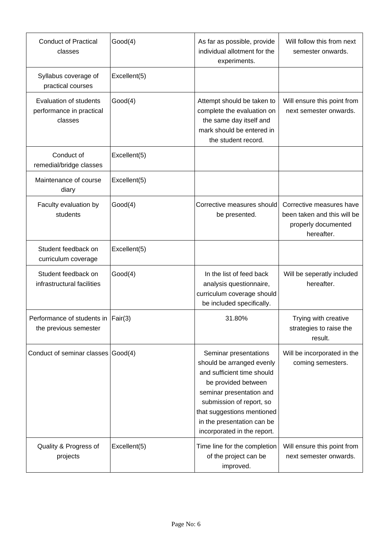| <b>Conduct of Practical</b><br>classes                        | Good(4)      | As far as possible, provide<br>individual allotment for the<br>experiments.                                                                                                                                                                                | Will follow this from next<br>semester onwards.                                              |
|---------------------------------------------------------------|--------------|------------------------------------------------------------------------------------------------------------------------------------------------------------------------------------------------------------------------------------------------------------|----------------------------------------------------------------------------------------------|
| Syllabus coverage of<br>practical courses                     | Excellent(5) |                                                                                                                                                                                                                                                            |                                                                                              |
| Evaluation of students<br>performance in practical<br>classes | Good(4)      | Attempt should be taken to<br>complete the evaluation on<br>the same day itself and<br>mark should be entered in<br>the student record.                                                                                                                    | Will ensure this point from<br>next semester onwards.                                        |
| Conduct of<br>remedial/bridge classes                         | Excellent(5) |                                                                                                                                                                                                                                                            |                                                                                              |
| Maintenance of course<br>diary                                | Excellent(5) |                                                                                                                                                                                                                                                            |                                                                                              |
| Faculty evaluation by<br>students                             | Good(4)      | Corrective measures should<br>be presented.                                                                                                                                                                                                                | Corrective measures have<br>been taken and this will be<br>properly documented<br>hereafter. |
| Student feedback on<br>curriculum coverage                    | Excellent(5) |                                                                                                                                                                                                                                                            |                                                                                              |
| Student feedback on<br>infrastructural facilities             | Good(4)      | In the list of feed back<br>analysis questionnaire,<br>curriculum coverage should<br>be included specifically.                                                                                                                                             | Will be seperatly included<br>hereafter.                                                     |
| Performance of students in Fair(3)<br>the previous semester   |              | 31.80%                                                                                                                                                                                                                                                     | Trying with creative<br>strategies to raise the<br>result.                                   |
| Conduct of seminar classes Good(4)                            |              | Seminar presentations<br>should be arranged evenly<br>and sufficient time should<br>be provided between<br>seminar presentation and<br>submission of report, so<br>that suggestions mentioned<br>in the presentation can be<br>incorporated in the report. | Will be incorporated in the<br>coming semesters.                                             |
| Quality & Progress of<br>projects                             | Excellent(5) | Time line for the completion<br>of the project can be<br>improved.                                                                                                                                                                                         | Will ensure this point from<br>next semester onwards.                                        |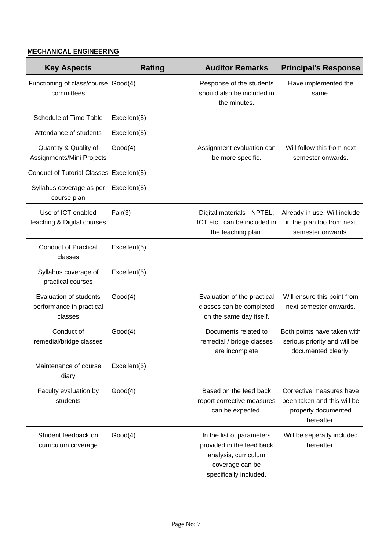## **MECHANICAL ENGINEERING**

| <b>Key Aspects</b>                                                   | <b>Rating</b> | <b>Auditor Remarks</b>                                                                                                      | <b>Principal's Response</b>                                                                  |
|----------------------------------------------------------------------|---------------|-----------------------------------------------------------------------------------------------------------------------------|----------------------------------------------------------------------------------------------|
| Functioning of class/course<br>committees                            | Good(4)       | Response of the students<br>should also be included in<br>the minutes.                                                      | Have implemented the<br>same.                                                                |
| Schedule of Time Table                                               | Excellent(5)  |                                                                                                                             |                                                                                              |
| Attendance of students                                               | Excellent(5)  |                                                                                                                             |                                                                                              |
| Quantity & Quality of<br>Assignments/Mini Projects                   | Good(4)       | Assignment evaluation can<br>be more specific.                                                                              | Will follow this from next<br>semester onwards.                                              |
| <b>Conduct of Tutorial Classes</b>                                   | Excellent(5)  |                                                                                                                             |                                                                                              |
| Syllabus coverage as per<br>course plan                              | Excellent(5)  |                                                                                                                             |                                                                                              |
| Use of ICT enabled<br>teaching & Digital courses                     | Fair(3)       | Digital materials - NPTEL,<br>ICT etc can be included in<br>the teaching plan.                                              | Already in use. Will include<br>in the plan too from next<br>semester onwards.               |
| <b>Conduct of Practical</b><br>classes                               | Excellent(5)  |                                                                                                                             |                                                                                              |
| Syllabus coverage of<br>practical courses                            | Excellent(5)  |                                                                                                                             |                                                                                              |
| <b>Evaluation of students</b><br>performance in practical<br>classes | Good(4)       | Evaluation of the practical<br>classes can be completed<br>on the same day itself.                                          | Will ensure this point from<br>next semester onwards.                                        |
| Conduct of<br>remedial/bridge classes                                | Good(4)       | Documents related to<br>remedial / bridge classes<br>are incomplete                                                         | Both points have taken with<br>serious priority and will be<br>documented clearly.           |
| Maintenance of course<br>diary                                       | Excellent(5)  |                                                                                                                             |                                                                                              |
| Faculty evaluation by<br>students                                    | Good(4)       | Based on the feed back<br>report corrective measures<br>can be expected.                                                    | Corrective measures have<br>been taken and this will be<br>properly documented<br>hereafter. |
| Student feedback on<br>curriculum coverage                           | Good(4)       | In the list of parameters<br>provided in the feed back<br>analysis, curriculum<br>coverage can be<br>specifically included. | Will be seperatly included<br>hereafter.                                                     |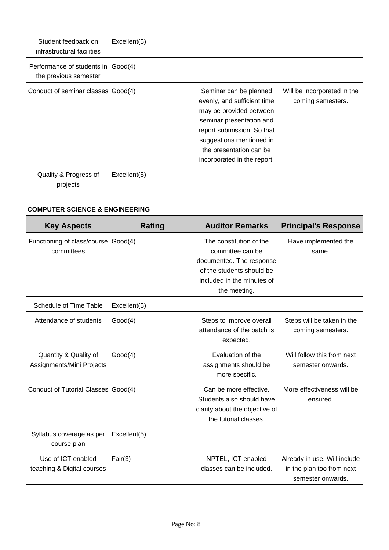| Student feedback on<br>infrastructural facilities     | Excellent(5) |                                                                                                                                                                                                                                  |                                                  |
|-------------------------------------------------------|--------------|----------------------------------------------------------------------------------------------------------------------------------------------------------------------------------------------------------------------------------|--------------------------------------------------|
| Performance of students in  <br>the previous semester | Good(4)      |                                                                                                                                                                                                                                  |                                                  |
| Conduct of seminar classes Good(4)                    |              | Seminar can be planned<br>evenly, and sufficient time<br>may be provided between<br>seminar presentation and<br>report submission. So that<br>suggestions mentioned in<br>the presentation can be<br>incorporated in the report. | Will be incorporated in the<br>coming semesters. |
| Quality & Progress of<br>projects                     | Excellent(5) |                                                                                                                                                                                                                                  |                                                  |

## **COMPUTER SCIENCE & ENGINEERING**

| <b>Key Aspects</b>                                 | <b>Rating</b> | <b>Auditor Remarks</b>                                                                                                                             | <b>Principal's Response</b>                                                    |
|----------------------------------------------------|---------------|----------------------------------------------------------------------------------------------------------------------------------------------------|--------------------------------------------------------------------------------|
| Functioning of class/course<br>committees          | Good(4)       | The constitution of the<br>committee can be<br>documented. The response<br>of the students should be<br>included in the minutes of<br>the meeting. | Have implemented the<br>same.                                                  |
| Schedule of Time Table                             | Excellent(5)  |                                                                                                                                                    |                                                                                |
| Attendance of students                             | Good(4)       | Steps to improve overall<br>attendance of the batch is<br>expected.                                                                                | Steps will be taken in the<br>coming semesters.                                |
| Quantity & Quality of<br>Assignments/Mini Projects | Good(4)       | Evaluation of the<br>assignments should be<br>more specific.                                                                                       | Will follow this from next<br>semester onwards.                                |
| Conduct of Tutorial Classes Good(4)                |               | Can be more effective.<br>Students also should have<br>clarity about the objective of<br>the tutorial classes.                                     | More effectiveness will be<br>ensured.                                         |
| Syllabus coverage as per<br>course plan            | Excellent(5)  |                                                                                                                                                    |                                                                                |
| Use of ICT enabled<br>teaching & Digital courses   | Fair(3)       | NPTEL, ICT enabled<br>classes can be included.                                                                                                     | Already in use. Will include<br>in the plan too from next<br>semester onwards. |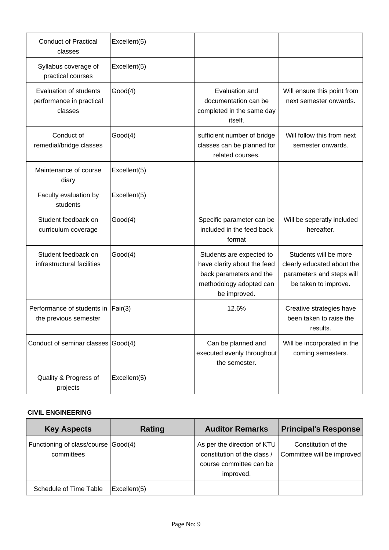| <b>Conduct of Practical</b><br>classes                        | Excellent(5) |                                                                                                                               |                                                                                                          |
|---------------------------------------------------------------|--------------|-------------------------------------------------------------------------------------------------------------------------------|----------------------------------------------------------------------------------------------------------|
| Syllabus coverage of<br>practical courses                     | Excellent(5) |                                                                                                                               |                                                                                                          |
| Evaluation of students<br>performance in practical<br>classes | Good(4)      | Evaluation and<br>documentation can be<br>completed in the same day<br>itself.                                                | Will ensure this point from<br>next semester onwards.                                                    |
| Conduct of<br>remedial/bridge classes                         | Good(4)      | sufficient number of bridge<br>classes can be planned for<br>related courses.                                                 | Will follow this from next<br>semester onwards.                                                          |
| Maintenance of course<br>diary                                | Excellent(5) |                                                                                                                               |                                                                                                          |
| Faculty evaluation by<br>students                             | Excellent(5) |                                                                                                                               |                                                                                                          |
| Student feedback on<br>curriculum coverage                    | Good(4)      | Specific parameter can be<br>included in the feed back<br>format                                                              | Will be seperatly included<br>hereafter.                                                                 |
| Student feedback on<br>infrastructural facilities             | Good(4)      | Students are expected to<br>have clarity about the feed<br>back parameters and the<br>methodology adopted can<br>be improved. | Students will be more<br>clearly educated about the<br>parameters and steps will<br>be taken to improve. |
| Performance of students in<br>the previous semester           | Fair(3)      | 12.6%                                                                                                                         | Creative strategies have<br>been taken to raise the<br>results.                                          |
| Conduct of seminar classes Good(4)                            |              | Can be planned and<br>executed evenly throughout<br>the semester.                                                             | Will be incorporated in the<br>coming semesters.                                                         |
| Quality & Progress of<br>projects                             | Excellent(5) |                                                                                                                               |                                                                                                          |

## **CIVIL ENGINEERING**

| <b>Key Aspects</b>                                | Rating       | <b>Auditor Remarks</b>                                                                             | <b>Principal's Response</b>                       |
|---------------------------------------------------|--------------|----------------------------------------------------------------------------------------------------|---------------------------------------------------|
| Functioning of class/course Good(4)<br>committees |              | As per the direction of KTU<br>constitution of the class /<br>course committee can be<br>improved. | Constitution of the<br>Committee will be improved |
| Schedule of Time Table                            | Excellent(5) |                                                                                                    |                                                   |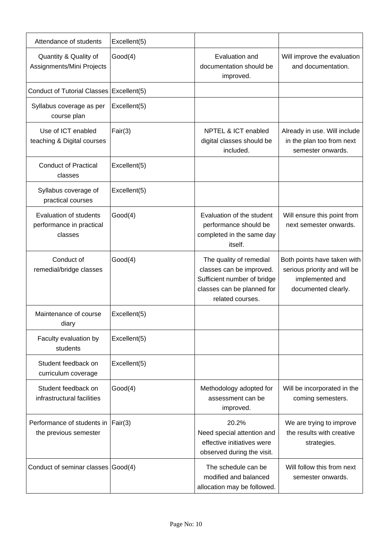| Attendance of students                                        | Excellent(5) |                                                                                                                                      |                                                                                                       |
|---------------------------------------------------------------|--------------|--------------------------------------------------------------------------------------------------------------------------------------|-------------------------------------------------------------------------------------------------------|
| Quantity & Quality of<br>Assignments/Mini Projects            | Good(4)      | Evaluation and<br>documentation should be<br>improved.                                                                               | Will improve the evaluation<br>and documentation.                                                     |
| Conduct of Tutorial Classes   Excellent(5)                    |              |                                                                                                                                      |                                                                                                       |
| Syllabus coverage as per<br>course plan                       | Excellent(5) |                                                                                                                                      |                                                                                                       |
| Use of ICT enabled<br>teaching & Digital courses              | Fair(3)      | NPTEL & ICT enabled<br>digital classes should be<br>included.                                                                        | Already in use. Will include<br>in the plan too from next<br>semester onwards.                        |
| <b>Conduct of Practical</b><br>classes                        | Excellent(5) |                                                                                                                                      |                                                                                                       |
| Syllabus coverage of<br>practical courses                     | Excellent(5) |                                                                                                                                      |                                                                                                       |
| Evaluation of students<br>performance in practical<br>classes | Good(4)      | Evaluation of the student<br>performance should be<br>completed in the same day<br>itself.                                           | Will ensure this point from<br>next semester onwards.                                                 |
| Conduct of<br>remedial/bridge classes                         | Good(4)      | The quality of remedial<br>classes can be improved.<br>Sufficient number of bridge<br>classes can be planned for<br>related courses. | Both points have taken with<br>serious priority and will be<br>implemented and<br>documented clearly. |
| Maintenance of course<br>diary                                | Excellent(5) |                                                                                                                                      |                                                                                                       |
| Faculty evaluation by<br>students                             | Excellent(5) |                                                                                                                                      |                                                                                                       |
| Student feedback on<br>curriculum coverage                    | Excellent(5) |                                                                                                                                      |                                                                                                       |
| Student feedback on<br>infrastructural facilities             | Good(4)      | Methodology adopted for<br>assessment can be<br>improved.                                                                            | Will be incorporated in the<br>coming semesters.                                                      |
| Performance of students in<br>the previous semester           | Fair(3)      | 20.2%<br>Need special attention and<br>effective initiatives were<br>observed during the visit.                                      | We are trying to improve<br>the results with creative<br>strategies.                                  |
| Conduct of seminar classes Good(4)                            |              | The schedule can be<br>modified and balanced<br>allocation may be followed.                                                          | Will follow this from next<br>semester onwards.                                                       |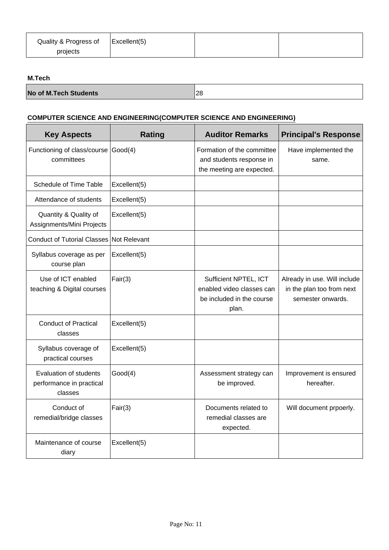| Quality & Progress of | $\vert$ Excellent(5) |  |
|-----------------------|----------------------|--|
| projects              |                      |  |

#### **M.Tech**

| <b>No of M.Tech Students</b> | 28 |
|------------------------------|----|
|------------------------------|----|

## **COMPUTER SCIENCE AND ENGINEERING(COMPUTER SCIENCE AND ENGINEERING)**

| <b>Key Aspects</b>                                            | <b>Rating</b> | <b>Auditor Remarks</b>                                                                   | <b>Principal's Response</b>                                                    |
|---------------------------------------------------------------|---------------|------------------------------------------------------------------------------------------|--------------------------------------------------------------------------------|
| Functioning of class/course<br>committees                     | Good(4)       | Formation of the committee<br>and students response in<br>the meeting are expected.      | Have implemented the<br>same.                                                  |
| Schedule of Time Table                                        | Excellent(5)  |                                                                                          |                                                                                |
| Attendance of students                                        | Excellent(5)  |                                                                                          |                                                                                |
| Quantity & Quality of<br>Assignments/Mini Projects            | Excellent(5)  |                                                                                          |                                                                                |
| Conduct of Tutorial Classes Not Relevant                      |               |                                                                                          |                                                                                |
| Syllabus coverage as per<br>course plan                       | Excellent(5)  |                                                                                          |                                                                                |
| Use of ICT enabled<br>teaching & Digital courses              | Fair(3)       | Sufficient NPTEL, ICT<br>enabled video classes can<br>be included in the course<br>plan. | Already in use. Will include<br>in the plan too from next<br>semester onwards. |
| <b>Conduct of Practical</b><br>classes                        | Excellent(5)  |                                                                                          |                                                                                |
| Syllabus coverage of<br>practical courses                     | Excellent(5)  |                                                                                          |                                                                                |
| Evaluation of students<br>performance in practical<br>classes | Good(4)       | Assessment strategy can<br>be improved.                                                  | Improvement is ensured<br>hereafter.                                           |
| Conduct of<br>remedial/bridge classes                         | Fair(3)       | Documents related to<br>remedial classes are<br>expected.                                | Will document prpoerly.                                                        |
| Maintenance of course<br>diary                                | Excellent(5)  |                                                                                          |                                                                                |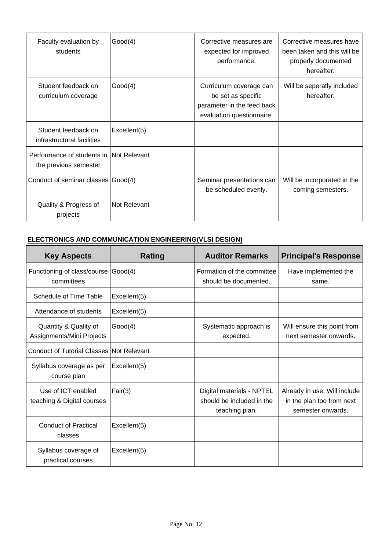| Faculty evaluation by<br>students                                 | Good(4)      | Corrective measures are<br>expected for improved<br>performance.                                         | Corrective measures have<br>been taken and this will be<br>properly documented<br>hereafter. |
|-------------------------------------------------------------------|--------------|----------------------------------------------------------------------------------------------------------|----------------------------------------------------------------------------------------------|
| Student feedback on<br>curriculum coverage                        | Good(4)      | Curriculum coverage can<br>be set as specific<br>parameter in the feed back<br>evaluation questionnaire. | Will be seperatly included<br>hereafter.                                                     |
| Student feedback on<br>infrastructural facilities                 | Excellent(5) |                                                                                                          |                                                                                              |
| Performance of students in INot Relevant<br>the previous semester |              |                                                                                                          |                                                                                              |
| Conduct of seminar classes Good(4)                                |              | Seminar presentations can<br>be scheduled evenly.                                                        | Will be incorporated in the<br>coming semesters.                                             |
| Quality & Progress of<br>projects                                 | Not Relevant |                                                                                                          |                                                                                              |

## **ELECTRONICS AND COMMUNICATION ENGINEERING(VLSI DESIGN)**

| <b>Key Aspects</b>                                 | Rating       | <b>Auditor Remarks</b>                                                   | <b>Principal's Response</b>                                                    |
|----------------------------------------------------|--------------|--------------------------------------------------------------------------|--------------------------------------------------------------------------------|
| Functioning of class/course<br>committees          | Good(4)      | Formation of the committee<br>should be documented.                      | Have implemented the<br>same.                                                  |
| Schedule of Time Table                             | Excellent(5) |                                                                          |                                                                                |
| Attendance of students                             | Excellent(5) |                                                                          |                                                                                |
| Quantity & Quality of<br>Assignments/Mini Projects | Good(4)      | Systematic approach is<br>expected.                                      | Will ensure this point from<br>next semester onwards.                          |
| <b>Conduct of Tutorial Classes Not Relevant</b>    |              |                                                                          |                                                                                |
| Syllabus coverage as per<br>course plan            | Excellent(5) |                                                                          |                                                                                |
| Use of ICT enabled<br>teaching & Digital courses   | Fair(3)      | Digital materials - NPTEL<br>should be included in the<br>teaching plan. | Already in use. Will include<br>in the plan too from next<br>semester onwards. |
| <b>Conduct of Practical</b><br>classes             | Excellent(5) |                                                                          |                                                                                |
| Syllabus coverage of<br>practical courses          | Excellent(5) |                                                                          |                                                                                |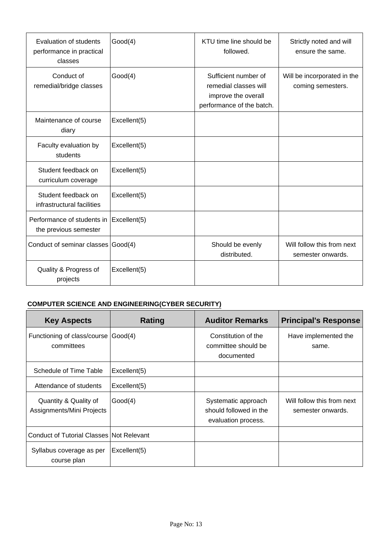| Evaluation of students<br>performance in practical<br>classes | Good(4)              | KTU time line should be<br>followed.                                                              | Strictly noted and will<br>ensure the same.      |
|---------------------------------------------------------------|----------------------|---------------------------------------------------------------------------------------------------|--------------------------------------------------|
| Conduct of<br>remedial/bridge classes                         | Good(4)              | Sufficient number of<br>remedial classes will<br>improve the overall<br>performance of the batch. | Will be incorporated in the<br>coming semesters. |
| Maintenance of course<br>diary                                | Excellent(5)         |                                                                                                   |                                                  |
| Faculty evaluation by<br>students                             | Excellent(5)         |                                                                                                   |                                                  |
| Student feedback on<br>curriculum coverage                    | Excellent(5)         |                                                                                                   |                                                  |
| Student feedback on<br>infrastructural facilities             | Excellent(5)         |                                                                                                   |                                                  |
| Performance of students in<br>the previous semester           | $\vert$ Excellent(5) |                                                                                                   |                                                  |
| Conduct of seminar classes Good(4)                            |                      | Should be evenly<br>distributed.                                                                  | Will follow this from next<br>semester onwards.  |
| Quality & Progress of<br>projects                             | Excellent(5)         |                                                                                                   |                                                  |

## **COMPUTER SCIENCE AND ENGINEERING(CYBER SECURITY)**

| <b>Key Aspects</b>                                 | Rating       | <b>Auditor Remarks</b>                                               | <b>Principal's Response</b>                     |
|----------------------------------------------------|--------------|----------------------------------------------------------------------|-------------------------------------------------|
| Functioning of class/course<br>committees          | Good(4)      | Constitution of the<br>committee should be<br>documented             | Have implemented the<br>same.                   |
| Schedule of Time Table                             | Excellent(5) |                                                                      |                                                 |
| Attendance of students                             | Excellent(5) |                                                                      |                                                 |
| Quantity & Quality of<br>Assignments/Mini Projects | Good(4)      | Systematic approach<br>should followed in the<br>evaluation process. | Will follow this from next<br>semester onwards. |
| <b>Conduct of Tutorial Classes Not Relevant</b>    |              |                                                                      |                                                 |
| Syllabus coverage as per<br>course plan            | Excellent(5) |                                                                      |                                                 |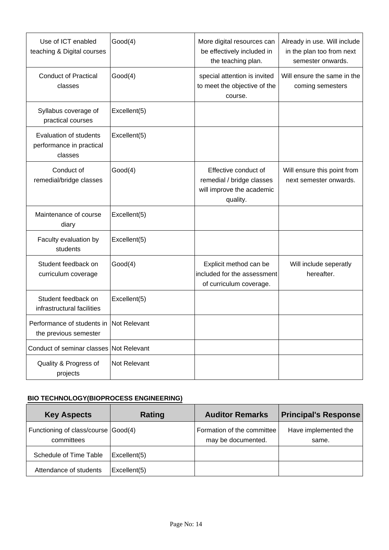| Use of ICT enabled<br>teaching & Digital courses                 | Good(4)      | More digital resources can<br>be effectively included in<br>the teaching plan.             | Already in use. Will include<br>in the plan too from next<br>semester onwards. |
|------------------------------------------------------------------|--------------|--------------------------------------------------------------------------------------------|--------------------------------------------------------------------------------|
| <b>Conduct of Practical</b><br>classes                           | Good(4)      | special attention is invited<br>to meet the objective of the<br>course.                    | Will ensure the same in the<br>coming semesters                                |
| Syllabus coverage of<br>practical courses                        | Excellent(5) |                                                                                            |                                                                                |
| Evaluation of students<br>performance in practical<br>classes    | Excellent(5) |                                                                                            |                                                                                |
| Conduct of<br>remedial/bridge classes                            | Good(4)      | Effective conduct of<br>remedial / bridge classes<br>will improve the academic<br>quality. | Will ensure this point from<br>next semester onwards.                          |
| Maintenance of course<br>diary                                   | Excellent(5) |                                                                                            |                                                                                |
| Faculty evaluation by<br>students                                | Excellent(5) |                                                                                            |                                                                                |
| Student feedback on<br>curriculum coverage                       | Good(4)      | Explicit method can be<br>included for the assessment<br>of curriculum coverage.           | Will include seperatly<br>hereafter.                                           |
| Student feedback on<br>infrastructural facilities                | Excellent(5) |                                                                                            |                                                                                |
| Performance of students in Not Relevant<br>the previous semester |              |                                                                                            |                                                                                |
| Conduct of seminar classes Not Relevant                          |              |                                                                                            |                                                                                |
| Quality & Progress of<br>projects                                | Not Relevant |                                                                                            |                                                                                |

# **BIO TECHNOLOGY(BIOPROCESS ENGINEERING)**

| <b>Key Aspects</b>                                | Rating       | <b>Auditor Remarks</b>                           | <b>Principal's Response</b>   |
|---------------------------------------------------|--------------|--------------------------------------------------|-------------------------------|
| Functioning of class/course Good(4)<br>committees |              | Formation of the committee<br>may be documented. | Have implemented the<br>same. |
| Schedule of Time Table                            | Excellent(5) |                                                  |                               |
| Attendance of students                            | Excellent(5) |                                                  |                               |